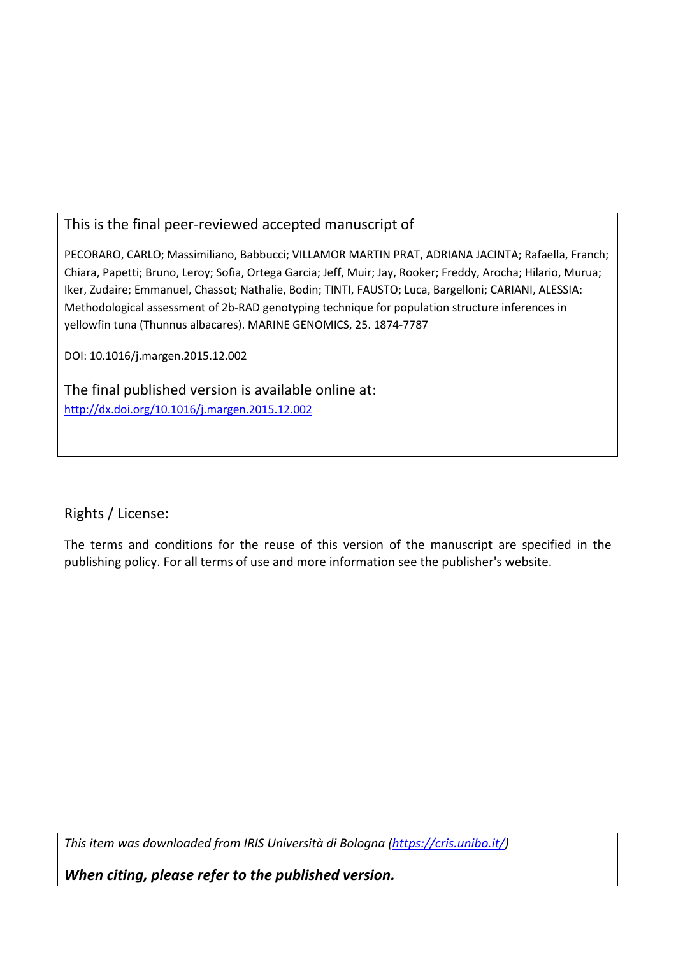# This is the final peer-reviewed accepted manuscript of

PECORARO, CARLO; Massimiliano, Babbucci; VILLAMOR MARTIN PRAT, ADRIANA JACINTA; Rafaella, Franch; Chiara, Papetti; Bruno, Leroy; Sofia, Ortega Garcia; Jeff, Muir; Jay, Rooker; Freddy, Arocha; Hilario, Murua; Iker, Zudaire; Emmanuel, Chassot; Nathalie, Bodin; TINTI, FAUSTO; Luca, Bargelloni; CARIANI, ALESSIA: Methodological assessment of 2b-RAD genotyping technique for population structure inferences in yellowfin tuna (Thunnus albacares). MARINE GENOMICS, 25. 1874-7787

DOI: 10.1016/j.margen.2015.12.002

The final published version is available online at: http://dx.doi.org/10.1016/j.margen.2015.12.002

Rights / License:

The terms and conditions for the reuse of this version of the manuscript are specified in the publishing policy. For all terms of use and more information see the publisher's website.

*This item was downloaded from IRIS Università di Bologna (https://cris.unibo.it/)*

*When citing, please refer to the published version.*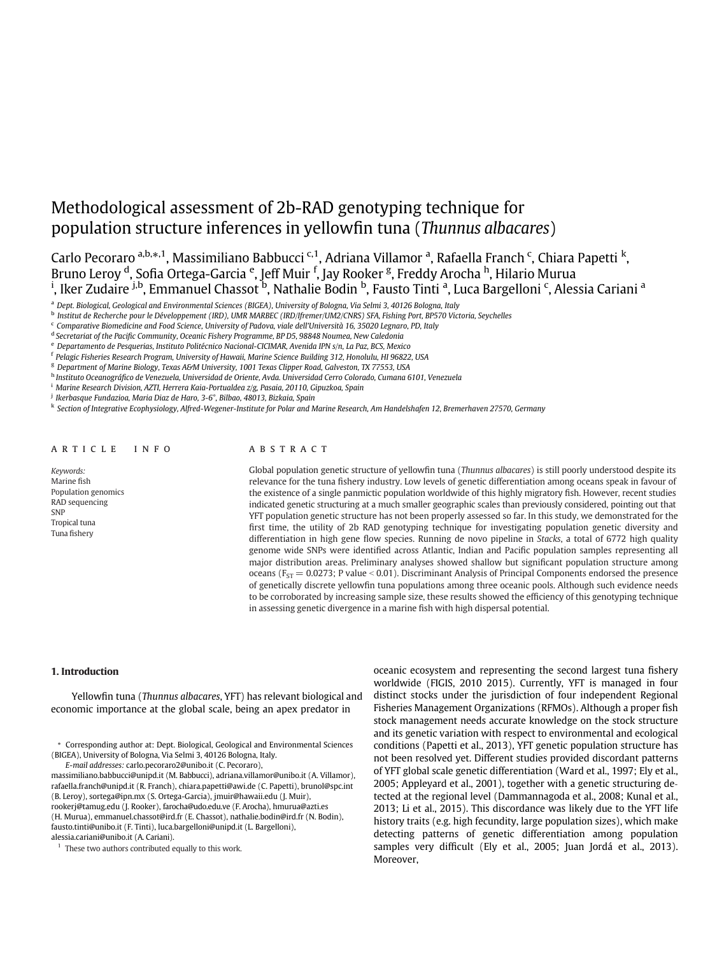# Methodological assessment of 2b-RAD genotyping technique for population structure inferences in yellowfin tuna (Thunnus albacares)

Carlo Pecoraro <sup>a,b,</sup>\*,<sup>1</sup>, Massimiliano Babbucci <sup>c,1</sup>, Adriana Villamor <sup>a</sup>, Rafaella Franch <sup>c</sup>, Chiara Papetti <sup>k</sup>, Bruno Leroy <sup>d</sup>, Sofia Ortega-Garcia <sup>e</sup>, Jeff Muir <sup>f</sup>, Jay Rooker <sup>g</sup>, Freddy Arocha <sup>h</sup>, Hilario Murua<br><sup>i</sup>, Iker Zudaire <sup>j,b</sup>, Emmanuel Chassot <sup>b</sup>, Nathalie Bodin <sup>b</sup>, Fausto Tinti <sup>a</sup>, Luca Bargelloni <sup>c</sup>, Alessia Ca

a Dept. Biological, Geological and Environmental Sciences (BIGEA), University of Bologna, Via Selmi 3, 40126 Bologna, Italy

<sup>c</sup> Comparative Biomedicine and Food Science, University of Padova, viale dell'Università 16, 35020 Legnaro, PD, Italy

- <sup>e</sup> Departamento de Pesquerias, Instituto Politécnico Nacional-CICIMAR, Avenida IPN s/n, La Paz, BCS, Mexico
- <sup>f</sup> Pelagic Fisheries Research Program, University of Hawaii, Marine Science Building 312, Honolulu, HI 96822, USA
- <sup>g</sup> Department of Marine Biology, Texas A&M University, 1001 Texas Clipper Road, Galveston, TX 77553, USA
- <sup>h</sup> Instituto Oceanográfico de Venezuela, Universidad de Oriente, Avda. Universidad Cerro Colorado, Cumana 6101, Venezuela
- <sup>i</sup> Marine Research Division, AZTI, Herrera Kaia-Portualdea z/g, Pasaia, 20110, Gipuzkoa, Spain

<sup>i</sup> Ikerbasque Fundazioa, Maria Diaz de Haro, 3-6°, Bilbao, 48013, Bizkaia, Spain

<sup>k</sup> Section of Integrative Ecophysiology, Alfred-Wegener-Institute for Polar and Marine Research, Am Handelshafen 12, Bremerhaven 27570, Germany

#### article i nfo

Keywords: Marine fish Population genomics RAD sequencing SNP Tropical tuna Tuna fishery

# ABSTRACT

Global population genetic structure of yellowfin tuna (Thunnus albacares) is still poorly understood despite its relevance for the tuna fishery industry. Low levels of genetic differentiation among oceans speak in favour of the existence of a single panmictic population worldwide of this highly migratory fish. However, recent studies indicated genetic structuring at a much smaller geographic scales than previously considered, pointing out that YFT population genetic structure has not been properly assessed so far. In this study, we demonstrated for the first time, the utility of 2b RAD genotyping technique for investigating population genetic diversity and differentiation in high gene flow species. Running de novo pipeline in Stacks, a total of 6772 high quality genome wide SNPs were identified across Atlantic, Indian and Pacific population samples representing all major distribution areas. Preliminary analyses showed shallow but significant population structure among oceans ( $F_{ST}$  = 0.0273; P value < 0.01). Discriminant Analysis of Principal Components endorsed the presence of genetically discrete yellowfin tuna populations among three oceanic pools. Although such evidence needs to be corroborated by increasing sample size, these results showed the efficiency of this genotyping technique in assessing genetic divergence in a marine fish with high dispersal potential.

Yellowfin tuna (Thunnus albacares, YFT) has relevant biological and economic importance at the global scale, being an apex predator in

⁎ Corresponding author at: Dept. Biological, Geological and Environmental Sciences (BIGEA), University of Bologna, Via Selmi 3, 40126 Bologna, Italy.

E-mail addresses: carlo.pecoraro2@unibo.it (C. Pecoraro),

massimiliano.babbucci@unipd.it (M. Babbucci), adriana.villamor@unibo.it (A. Villamor), rafaella.franch@unipd.it (R. Franch), chiara.papetti@awi.de (C. Papetti), brunol@spc.int (B. Leroy), sortega@ipn.mx (S. Ortega-Garcia), jmuir@hawaii.edu (J. Muir), rookerj@tamug.edu (J. Rooker), farocha@udo.edu.ve (F. Arocha), hmurua@azti.es (H. Murua), emmanuel.chassot@ird.fr (E. Chassot), nathalie.bodin@ird.fr (N. Bodin), fausto.tinti@unibo.it (F. Tinti), luca.bargelloni@unipd.it (L. Bargelloni), alessia.cariani@unibo.it (A. Cariani).

 $1$  These two authors contributed equally to this work.

1. Introduction **1.** Introduction **oceanic ecosystem and representing the second largest tuna fishery** oceanic ecosystem and representing the second largest tuna fishery worldwide (FIGIS, 2010 2015). Currently, YFT is managed in four distinct stocks under the jurisdiction of four independent Regional Fisheries Management Organizations (RFMOs). Although a proper fish stock management needs accurate knowledge on the stock structure and its genetic variation with respect to environmental and ecological conditions (Papetti et al., 2013), YFT genetic population structure has not been resolved yet. Different studies provided discordant patterns of YFT global scale genetic differentiation (Ward et al., 1997; Ely et al., 2005; Appleyard et al., 2001), together with a genetic structuring detected at the regional level (Dammannagoda et al., 2008; Kunal et al., 2013; Li et al., 2015). This discordance was likely due to the YFT life history traits (e.g. high fecundity, large population sizes), which make detecting patterns of genetic differentiation among population samples very difficult (Ely et al., 2005; Juan Jordá et al., 2013). Moreover,

<sup>&</sup>lt;sup>b</sup> Institut de Recherche pour le Développement (IRD), UMR MARBEC (IRD/Ifremer/UM2/CNRS) SFA, Fishing Port, BP570 Victoria, Seychelles

<sup>&</sup>lt;sup>d</sup> Secretariat of the Pacific Community, Oceanic Fishery Programme, BP D5, 98848 Noumea, New Caledonia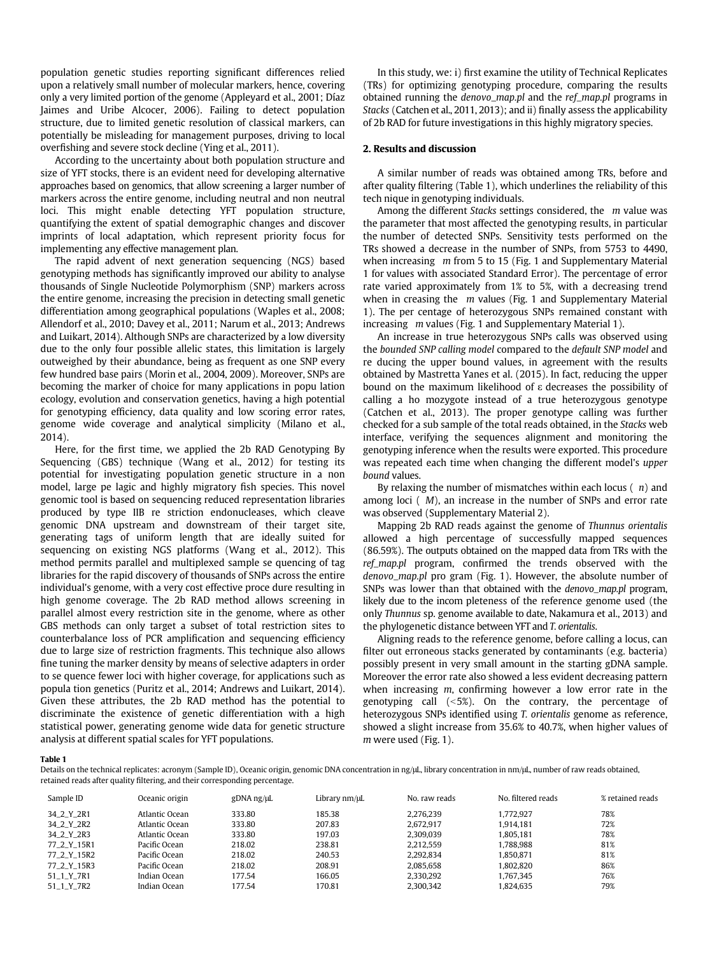population genetic studies reporting significant differences relied upon a relatively small number of molecular markers, hence, covering only a very limited portion of the genome (Appleyard et al., 2001; Díaz Jaimes and Uribe Alcocer, 2006). Failing to detect population structure, due to limited genetic resolution of classical markers, can potentially be misleading for management purposes, driving to local overfishing and severe stock decline (Ying et al., 2011).

According to the uncertainty about both population structure and size of YFT stocks, there is an evident need for developing alternative approaches based on genomics, that allow screening a larger number of markers across the entire genome, including neutral and non neutral loci. This might enable detecting YFT population structure, quantifying the extent of spatial demographic changes and discover imprints of local adaptation, which represent priority focus for implementing any effective management plan.

The rapid advent of next generation sequencing (NGS) based genotyping methods has significantly improved our ability to analyse thousands of Single Nucleotide Polymorphism (SNP) markers across the entire genome, increasing the precision in detecting small genetic differentiation among geographical populations (Waples et al., 2008; Allendorf et al., 2010; Davey et al., 2011; Narum et al., 2013; Andrews and Luikart, 2014). Although SNPs are characterized by a low diversity due to the only four possible allelic states, this limitation is largely outweighed by their abundance, being as frequent as one SNP every few hundred base pairs (Morin et al., 2004, 2009). Moreover, SNPs are becoming the marker of choice for many applications in popu lation ecology, evolution and conservation genetics, having a high potential for genotyping efficiency, data quality and low scoring error rates, genome wide coverage and analytical simplicity (Milano et al., 2014).

Here, for the first time, we applied the 2b RAD Genotyping By Sequencing (GBS) technique (Wang et al., 2012) for testing its potential for investigating population genetic structure in a non model, large pe lagic and highly migratory fish species. This novel genomic tool is based on sequencing reduced representation libraries produced by type IIB re striction endonucleases, which cleave genomic DNA upstream and downstream of their target site, generating tags of uniform length that are ideally suited for sequencing on existing NGS platforms (Wang et al., 2012). This method permits parallel and multiplexed sample se quencing of tag libraries for the rapid discovery of thousands of SNPs across the entire individual's genome, with a very cost effective proce dure resulting in high genome coverage. The 2b RAD method allows screening in parallel almost every restriction site in the genome, where as other GBS methods can only target a subset of total restriction sites to counterbalance loss of PCR amplification and sequencing efficiency due to large size of restriction fragments. This technique also allows fine tuning the marker density by means of selective adapters in order to se quence fewer loci with higher coverage, for applications such as popula tion genetics (Puritz et al., 2014; Andrews and Luikart, 2014). Given these attributes, the 2b RAD method has the potential to discriminate the existence of genetic differentiation with a high statistical power, generating genome wide data for genetic structure analysis at different spatial scales for YFT populations.

In this study, we: i) first examine the utility of Technical Replicates (TRs) for optimizing genotyping procedure, comparing the results obtained running the denovo\_map.pl and the ref\_map.pl programs in Stacks (Catchen et al., 2011, 2013); and ii) finally assess the applicability of 2b RAD for future investigations in this highly migratory species.

## 2. Results and discussion

A similar number of reads was obtained among TRs, before and after quality filtering (Table 1), which underlines the reliability of this tech nique in genotyping individuals.

Among the different Stacks settings considered, the  $m$  value was the parameter that most affected the genotyping results, in particular the number of detected SNPs. Sensitivity tests performed on the TRs showed a decrease in the number of SNPs, from 5753 to 4490, when increasing m from 5 to 15 (Fig. 1 and Supplementary Material 1 for values with associated Standard Error). The percentage of error rate varied approximately from 1% to 5%, with a decreasing trend when in creasing the  $m$  values (Fig. 1 and Supplementary Material 1). The per centage of heterozygous SNPs remained constant with increasing m values (Fig. 1 and Supplementary Material 1).

An increase in true heterozygous SNPs calls was observed using the bounded SNP calling model compared to the default SNP model and re ducing the upper bound values, in agreement with the results obtained by Mastretta Yanes et al. (2015). In fact, reducing the upper bound on the maximum likelihood of  $\varepsilon$  decreases the possibility of calling a ho mozygote instead of a true heterozygous genotype (Catchen et al., 2013). The proper genotype calling was further checked for a sub sample of the total reads obtained, in the Stacks web interface, verifying the sequences alignment and monitoring the genotyping inference when the results were exported. This procedure was repeated each time when changing the different model's upper bound values.

By relaxing the number of mismatches within each locus  $(n)$  and among loci ( M), an increase in the number of SNPs and error rate was observed (Supplementary Material 2).

Mapping 2b RAD reads against the genome of Thunnus orientalis allowed a high percentage of successfully mapped sequences (86.59%). The outputs obtained on the mapped data from TRs with the ref\_map.pl program, confirmed the trends observed with the denovo\_map.pl pro gram (Fig. 1). However, the absolute number of SNPs was lower than that obtained with the denovo\_map.pl program, likely due to the incom pleteness of the reference genome used (the only Thunnus sp. genome available to date, Nakamura et al., 2013) and the phylogenetic distance between YFT and T. orientalis.

Aligning reads to the reference genome, before calling a locus, can filter out erroneous stacks generated by contaminants (e.g. bacteria) possibly present in very small amount in the starting gDNA sample. Moreover the error rate also showed a less evident decreasing pattern when increasing  $m$ , confirming however a low error rate in the genotyping call  $(-5%)$ . On the contrary, the percentage of heterozygous SNPs identified using T. orientalis genome as reference, showed a slight increase from 35.6% to 40.7%, when higher values of m were used (Fig. 1).

Table 1

Details on the technical replicates: acronym (Sample ID), Oceanic origin, genomic DNA concentration in ng/μL, library concentration in nm/μL, number of raw reads obtained, retained reads after quality filtering, and their corresponding percentage.

| Sample ID    | Oceanic origin | gDNA ng/µL | Library nm/µL | No. raw reads | No. filtered reads | % retained reads |
|--------------|----------------|------------|---------------|---------------|--------------------|------------------|
| 34_2_Y_2R1   | Atlantic Ocean | 333.80     | 185.38        | 2.276.239     | 1.772.927          | 78%              |
| 34 2 Y 2R2   | Atlantic Ocean | 333.80     | 207.83        | 2.672.917     | 1.914.181          | 72%              |
| 34 2 Y 2R3   | Atlantic Ocean | 333.80     | 197.03        | 2.309.039     | 1.805.181          | 78%              |
| 77 2 Y 15R1  | Pacific Ocean  | 218.02     | 238.81        | 2.212.559     | 1.788.988          | 81%              |
| 77 2 Y 15R2  | Pacific Ocean  | 218.02     | 240.53        | 2.292.834     | 1.850.871          | 81%              |
| 77 2 Y 15R3  | Pacific Ocean  | 218.02     | 208.91        | 2.085.658     | 1.802.820          | 86%              |
| $51_1$ Y_7R1 | Indian Ocean   | 177.54     | 166.05        | 2.330.292     | 1.767.345          | 76%              |
| 51 1 Y 7R2   | Indian Ocean   | 177.54     | 170.81        | 2,300,342     | 1,824,635          | 79%              |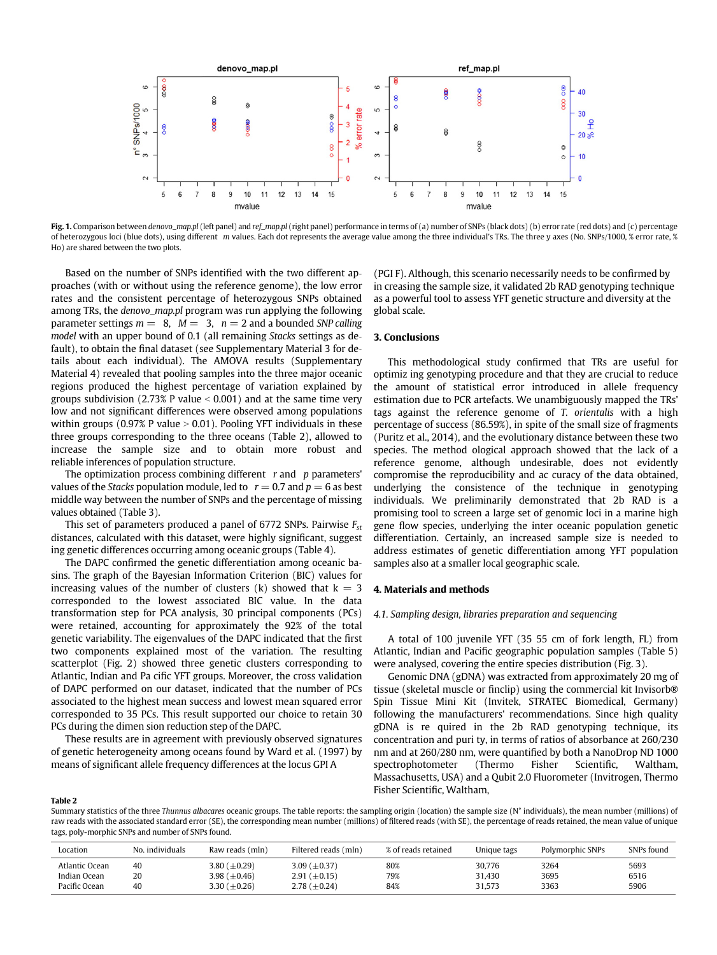

Fig. 1. Comparison between denovo\_map.pl (left panel) and ref\_map.pl (right panel) performance in terms of (a) number of SNPs (black dots) (b) error rate (red dots) and (c) percentage of heterozygous loci (blue dots), using different m values. Each dot represents the average value among the three individual's TRs. The three y axes (No. SNPs/1000, % error rate, % Ho) are shared between the two plots.

Based on the number of SNPs identified with the two different approaches (with or without using the reference genome), the low error rates and the consistent percentage of heterozygous SNPs obtained among TRs, the denovo\_map.pl program was run applying the following parameter settings  $m = 8$ ,  $M = 3$ ,  $n = 2$  and a bounded SNP calling model with an upper bound of 0.1 (all remaining Stacks settings as default), to obtain the final dataset (see Supplementary Material 3 for details about each individual). The AMOVA results (Supplementary Material 4) revealed that pooling samples into the three major oceanic regions produced the highest percentage of variation explained by groups subdivision (2.73% P value  $\leq 0.001$ ) and at the same time very low and not significant differences were observed among populations within groups (0.97% P value  $> 0.01$ ). Pooling YFT individuals in these three groups corresponding to the three oceans (Table 2), allowed to increase the sample size and to obtain more robust and reliable inferences of population structure.

The optimization process combining different  $r$  and  $p$  parameters' values of the *Stacks* population module, led to  $r = 0.7$  and  $p = 6$  as best middle way between the number of SNPs and the percentage of missing values obtained (Table 3).

This set of parameters produced a panel of 6772 SNPs. Pairwise  $F_{st}$ distances, calculated with this dataset, were highly significant, suggest ing genetic differences occurring among oceanic groups (Table 4).

The DAPC confirmed the genetic differentiation among oceanic basins. The graph of the Bayesian Information Criterion (BIC) values for increasing values of the number of clusters (k) showed that  $k = 3$ corresponded to the lowest associated BIC value. In the data transformation step for PCA analysis, 30 principal components (PCs) were retained, accounting for approximately the 92% of the total genetic variability. The eigenvalues of the DAPC indicated that the first two components explained most of the variation. The resulting scatterplot (Fig. 2) showed three genetic clusters corresponding to Atlantic, Indian and Pa cific YFT groups. Moreover, the cross validation of DAPC performed on our dataset, indicated that the number of PCs associated to the highest mean success and lowest mean squared error corresponded to 35 PCs. This result supported our choice to retain 30 PCs during the dimen sion reduction step of the DAPC.

These results are in agreement with previously observed signatures of genetic heterogeneity among oceans found by Ward et al. (1997) by means of significant allele frequency differences at the locus GPI A

(PGI F). Although, this scenario necessarily needs to be confirmed by in creasing the sample size, it validated 2b RAD genotyping technique as a powerful tool to assess YFT genetic structure and diversity at the global scale.

# 3. Conclusions

This methodological study confirmed that TRs are useful for optimiz ing genotyping procedure and that they are crucial to reduce the amount of statistical error introduced in allele frequency estimation due to PCR artefacts. We unambiguously mapped the TRs' tags against the reference genome of T. orientalis with a high percentage of success (86.59%), in spite of the small size of fragments (Puritz et al., 2014), and the evolutionary distance between these two species. The method ological approach showed that the lack of a reference genome, although undesirable, does not evidently compromise the reproducibility and ac curacy of the data obtained, underlying the consistence of the technique in genotyping individuals. We preliminarily demonstrated that 2b RAD is a promising tool to screen a large set of genomic loci in a marine high gene flow species, underlying the inter oceanic population genetic differentiation. Certainly, an increased sample size is needed to address estimates of genetic differentiation among YFT population samples also at a smaller local geographic scale.

#### 4. Materials and methods

# 4.1. Sampling design, libraries preparation and sequencing

A total of 100 juvenile YFT (35 55 cm of fork length, FL) from Atlantic, Indian and Pacific geographic population samples (Table 5) were analysed, covering the entire species distribution (Fig. 3).

Genomic DNA (gDNA) was extracted from approximately 20 mg of tissue (skeletal muscle or finclip) using the commercial kit Invisorb® Spin Tissue Mini Kit (Invitek, STRATEC Biomedical, Germany) following the manufacturers' recommendations. Since high quality gDNA is re quired in the 2b RAD genotyping technique, its concentration and puri ty, in terms of ratios of absorbance at 260/230 nm and at 260/280 nm, were quantified by both a NanoDrop ND 1000 spectrophotometer (Thermo Fisher Scientific, Waltham, Massachusetts, USA) and a Qubit 2.0 Fluorometer (Invitrogen, Thermo Fisher Scientific, Waltham,

#### Table 2

Summary statistics of the three Thunnus albacares oceanic groups. The table reports: the sampling origin (location) the sample size (N° individuals), the mean number (millions) of raw reads with the associated standard error (SE), the corresponding mean number (millions) of filtered reads (with SE), the percentage of reads retained, the mean value of unique tags, poly-morphic SNPs and number of SNPs found.

| Location       | No. individuals | Raw reads (mln)    | Filtered reads (mln) | % of reads retained | Unique tags | Polymorphic SNPs | SNPs found |
|----------------|-----------------|--------------------|----------------------|---------------------|-------------|------------------|------------|
| Atlantic Ocean | 40              | 3.80 $(\pm 0.29)$  | 3.09 $(\pm 0.37)$    | 80%                 | 30,776      | 3264             | 5693       |
| Indian Ocean   | 20              | 3.98 $(\pm 0.46)$  | 2.91 $(\pm 0.15)$    | 79%                 | 31.430      | 3695             | 6516       |
| Pacific Ocean  | 40              | 3.30 ( $\pm$ 0.26) | 2.78 ( $\pm$ 0.24)   | 84%                 | 31.573      | 3363             | 5906       |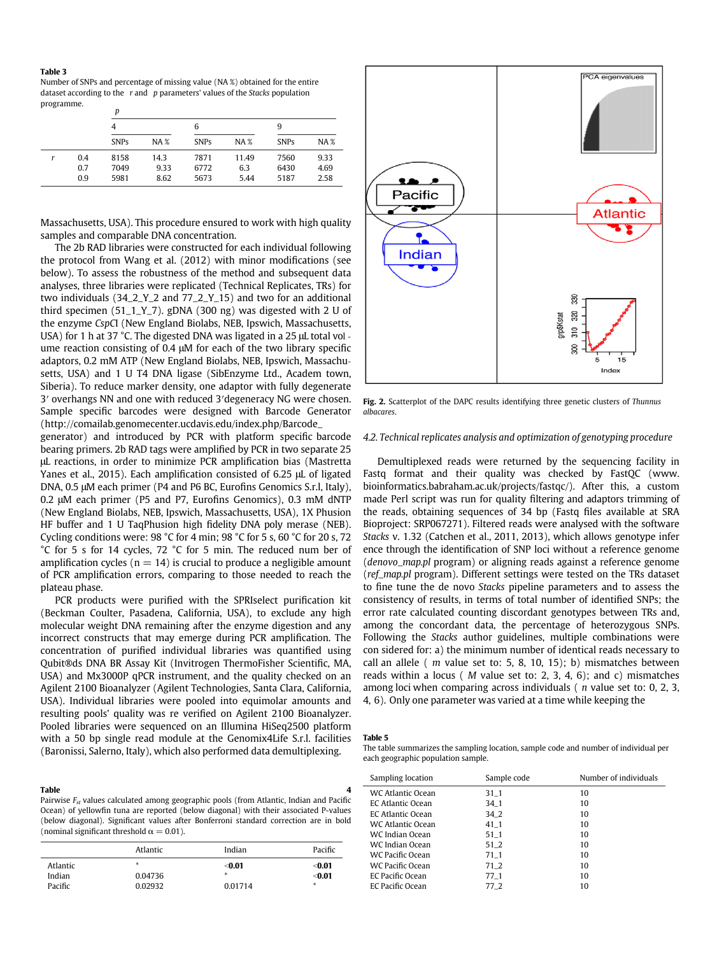#### Table 3

Number of SNPs and percentage of missing value (NA %) obtained for the entire dataset according to the  $r$  and  $p$  parameters' values of the *Stacks* population programme.

|     | Ď           |        |             |            |             |            |
|-----|-------------|--------|-------------|------------|-------------|------------|
|     | 4           |        | 6           |            | 9           |            |
|     | <b>SNPs</b> | $NA$ % | <b>SNPs</b> | <b>NA%</b> | <b>SNPs</b> | <b>NA%</b> |
| 0.4 | 8158        | 14.3   | 7871        | 11.49      | 7560        | 9.33       |
| 0.7 | 7049        | 9.33   | 6772        | 6.3        | 6430        | 4.69       |
| 0.9 | 5981        | 8.62   | 5673        | 5.44       | 5187        | 2.58       |

Massachusetts, USA). This procedure ensured to work with high quality samples and comparable DNA concentration.

The 2b RAD libraries were constructed for each individual following the protocol from Wang et al. (2012) with minor modifications (see below). To assess the robustness of the method and subsequent data analyses, three libraries were replicated (Technical Replicates, TRs) for two individuals (34\_2\_Y\_2 and 77\_2\_Y\_15) and two for an additional third specimen (51\_1\_Y\_7). gDNA (300 ng) was digested with 2 U of the enzyme CspCI (New England Biolabs, NEB, Ipswich, Massachusetts, USA) for 1 h at 37 °C. The digested DNA was ligated in a 25 μL total vol ume reaction consisting of 0.4 μM for each of the two library specific adaptors, 0.2 mM ATP (New England Biolabs, NEB, Ipswich, Massachusetts, USA) and 1 U T4 DNA ligase (SibEnzyme Ltd., Academ town, Siberia). To reduce marker density, one adaptor with fully degenerate 3′ overhangs NN and one with reduced 3′degeneracy NG were chosen. Sample specific barcodes were designed with Barcode Generator (http://comailab.genomecenter.ucdavis.edu/index.php/Barcode\_

generator) and introduced by PCR with platform specific barcode bearing primers. 2b RAD tags were amplified by PCR in two separate 25 μL reactions, in order to minimize PCR amplification bias (Mastretta Yanes et al., 2015). Each amplification consisted of 6.25 μL of ligated DNA, 0.5 μM each primer (P4 and P6 BC, Eurofins Genomics S.r.l, Italy), 0.2 μM each primer (P5 and P7, Eurofins Genomics), 0.3 mM dNTP (New England Biolabs, NEB, Ipswich, Massachusetts, USA), 1X Phusion HF buffer and 1 U TaqPhusion high fidelity DNA poly merase (NEB). Cycling conditions were: 98 °C for 4 min; 98 °C for 5 s, 60 °C for 20 s, 72 °C for 5 s for 14 cycles, 72 °C for 5 min. The reduced num ber of amplification cycles ( $n = 14$ ) is crucial to produce a negligible amount of PCR amplification errors, comparing to those needed to reach the plateau phase.

PCR products were purified with the SPRIselect purification kit (Beckman Coulter, Pasadena, California, USA), to exclude any high molecular weight DNA remaining after the enzyme digestion and any incorrect constructs that may emerge during PCR amplification. The concentration of purified individual libraries was quantified using Qubit®ds DNA BR Assay Kit (Invitrogen ThermoFisher Scientific, MA, USA) and Mx3000P qPCR instrument, and the quality checked on an Agilent 2100 Bioanalyzer (Agilent Technologies, Santa Clara, California, USA). Individual libraries were pooled into equimolar amounts and resulting pools' quality was re verified on Agilent 2100 Bioanalyzer. Pooled libraries were sequenced on an Illumina HiSeq2500 platform with a 50 bp single read module at the Genomix4Life S.r.l. facilities (Baronissi, Salerno, Italy), which also performed data demultiplexing.

Table 4 Pairwise  $F_{st}$  values calculated among geographic pools (from Atlantic, Indian and Pacific Ocean) of yellowfin tuna are reported (below diagonal) with their associated P-values (below diagonal). Significant values after Bonferroni standard correction are in bold (nominal significant threshold  $\alpha = 0.01$ ).

|          | Atlantic | Indian  | Pacific |
|----------|----------|---------|---------|
| Atlantic | *        | $0.01$  | $0.01$  |
| Indian   | 0.04736  | *       | $0.01$  |
| Pacific  | 0.02932  | 0.01714 | *       |



Fig. 2. Scatterplot of the DAPC results identifying three genetic clusters of Thunnus albacares.

# 4.2. Technical replicates analysis and optimization of genotyping procedure

Demultiplexed reads were returned by the sequencing facility in Fastq format and their quality was checked by FastQC (www. bioinformatics.babraham.ac.uk/projects/fastqc/). After this, a custom made Perl script was run for quality filtering and adaptors trimming of the reads, obtaining sequences of 34 bp (Fastq files available at SRA Bioproject: SRP067271). Filtered reads were analysed with the software Stacks v. 1.32 (Catchen et al., 2011, 2013), which allows genotype infer ence through the identification of SNP loci without a reference genome (denovo\_map.pl program) or aligning reads against a reference genome (ref\_map.pl program). Different settings were tested on the TRs dataset to fine tune the de novo Stacks pipeline parameters and to assess the consistency of results, in terms of total number of identified SNPs; the error rate calculated counting discordant genotypes between TRs and, among the concordant data, the percentage of heterozygous SNPs. Following the Stacks author guidelines, multiple combinations were con sidered for: a) the minimum number of identical reads necessary to call an allele ( $m$  value set to: 5, 8, 10, 15); b) mismatches between reads within a locus ( M value set to: 2, 3, 4, 6); and c) mismatches among loci when comparing across individuals  $(n$  value set to: 0, 2, 3, 4, 6). Only one parameter was varied at a time while keeping the

#### Table 5

The table summarizes the sampling location, sample code and number of individual per each geographic population sample.

| Sampling location        | Sample code | Number of individuals |
|--------------------------|-------------|-----------------------|
| WC Atlantic Ocean        | 31 1        | 10                    |
| EC Atlantic Ocean        | 34 1        | 10                    |
| <b>EC Atlantic Ocean</b> | 34 2        | 10                    |
| WC Atlantic Ocean        | 41 1        | 10                    |
| WC Indian Ocean          | 51 1        | 10                    |
| WC Indian Ocean          | 51 2        | 10                    |
| WC Pacific Ocean         | 71 1        | 10                    |
| WC Pacific Ocean         | 71 2        | 10                    |
| EC Pacific Ocean         | 77 1        | 10                    |
| EC Pacific Ocean         | 77 2        | 10                    |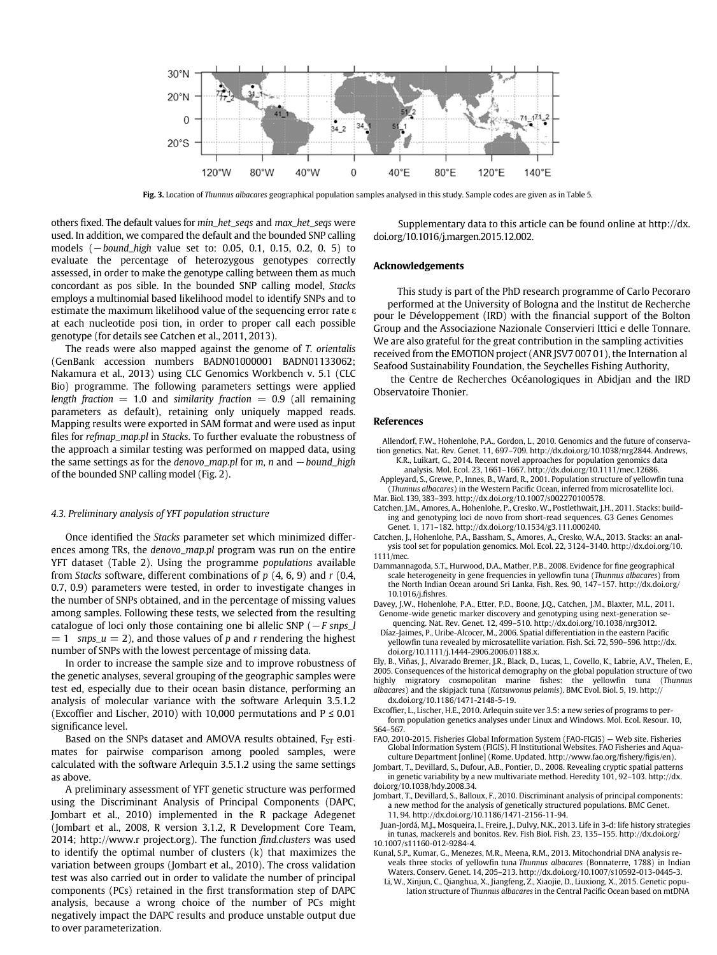

Fig. 3. Location of Thunnus albacares geographical population samples analysed in this study. Sample codes are given as in Table 5.

others fixed. The default values for min\_het\_seqs and max\_het\_seqs were used. In addition, we compared the default and the bounded SNP calling models (−bound\_high value set to: 0.05, 0.1, 0.15, 0.2, 0. 5) to evaluate the percentage of heterozygous genotypes correctly assessed, in order to make the genotype calling between them as much concordant as pos sible. In the bounded SNP calling model, Stacks employs a multinomial based likelihood model to identify SNPs and to estimate the maximum likelihood value of the sequencing error rate  $\varepsilon$ at each nucleotide posi tion, in order to proper call each possible genotype (for details see Catchen et al., 2011, 2013).

The reads were also mapped against the genome of T. orientalis (GenBank accession numbers BADN01000001 BADN01133062; Nakamura et al., 2013) using CLC Genomics Workbench v. 5.1 (CLC Bio) programme. The following parameters settings were applied length fraction = 1.0 and similarity fraction = 0.9 (all remaining parameters as default), retaining only uniquely mapped reads. Mapping results were exported in SAM format and were used as input files for refmap\_map.pl in Stacks. To further evaluate the robustness of the approach a similar testing was performed on mapped data, using the same settings as for the denovo\_map.pl for m, n and  $-$  bound\_high of the bounded SNP calling model (Fig. 2).

### 4.3. Preliminary analysis of YFT population structure

Once identified the Stacks parameter set which minimized differences among TRs, the denovo\_map.pl program was run on the entire YFT dataset (Table 2). Using the programme populations available from Stacks software, different combinations of  $p$  (4, 6, 9) and  $r$  (0.4, 0.7, 0.9) parameters were tested, in order to investigate changes in the number of SNPs obtained, and in the percentage of missing values among samples. Following these tests, we selected from the resulting catalogue of loci only those containing one bi allelic SNP ( $-F$  snps\_l  $= 1$  snps\_u  $= 2$ ), and those values of p and r rendering the highest number of SNPs with the lowest percentage of missing data.

In order to increase the sample size and to improve robustness of the genetic analyses, several grouping of the geographic samples were test ed, especially due to their ocean basin distance, performing an analysis of molecular variance with the software Arlequin 3.5.1.2 (Excoffier and Lischer, 2010) with 10,000 permutations and  $P \le 0.01$ significance level.

Based on the SNPs dataset and AMOVA results obtained,  $F_{ST}$  estimates for pairwise comparison among pooled samples, were calculated with the software Arlequin 3.5.1.2 using the same settings as above.

A preliminary assessment of YFT genetic structure was performed using the Discriminant Analysis of Principal Components (DAPC, Jombart et al., 2010) implemented in the R package Adegenet (Jombart et al., 2008, R version 3.1.2, R Development Core Team, 2014; http://www.r project.org). The function find.clusters was used to identify the optimal number of clusters (k) that maximizes the variation between groups (Jombart et al., 2010). The cross validation test was also carried out in order to validate the number of principal components (PCs) retained in the first transformation step of DAPC analysis, because a wrong choice of the number of PCs might negatively impact the DAPC results and produce unstable output due to over parameterization.

Supplementary data to this article can be found online at http://dx. doi.org/10.1016/j.margen.2015.12.002.

### Acknowledgements

This study is part of the PhD research programme of Carlo Pecoraro performed at the University of Bologna and the Institut de Recherche pour le Développement (IRD) with the financial support of the Bolton Group and the Associazione Nazionale Conservieri Ittici e delle Tonnare. We are also grateful for the great contribution in the sampling activities received from the EMOTION project (ANR JSV7 007 01), the Internation al Seafood Sustainability Foundation, the Seychelles Fishing Authority,

the Centre de Recherches Océanologiques in Abidjan and the IRD Observatoire Thonier.

### References

- Allendorf, F.W., Hohenlohe, P.A., Gordon, L., 2010. Genomics and the future of conservation genetics. Nat. Rev. Genet. 11, 697–709. http://dx.doi.org/10.1038/nrg2844. Andrews,
	- K.R., Luikart, G., 2014. Recent novel approaches for population genomics data analysis. Mol. Ecol. 23, 1661–1667. http://dx.doi.org/10.1111/mec.12686.
- Appleyard, S., Grewe, P., Innes, B., Ward, R., 2001. Population structure of yellowfin tuna (Thunnus albacares) in the Western Pacific Ocean, inferred from microsatellite loci.
- Mar. Biol. 139, 383–393. http://dx.doi.org/10.1007/s002270100578.
- Catchen, J.M., Amores, A., Hohenlohe, P., Cresko, W., Postlethwait, J.H., 2011. Stacks: building and genotyping loci de novo from short-read sequences. G3 Genes Genomes Genet. 1, 171–182. http://dx.doi.org/10.1534/g3.111.000240.

Catchen, J., Hohenlohe, P.A., Bassham, S., Amores, A., Cresko, W.A., 2013. Stacks: an analysis tool set for population genomics. Mol. Ecol. 22, 3124–3140. http://dx.doi.org/10. 1111/mec.

Dammannagoda, S.T., Hurwood, D.A., Mather, P.B., 2008. Evidence for fine geographical scale heterogeneity in gene frequencies in yellowfin tuna (Thunnus albacares) from the North Indian Ocean around Sri Lanka. Fish. Res. 90, 147–157. http://dx.doi.org/ 10.1016/j.fishres.

Davey, J.W., Hohenlohe, P.A., Etter, P.D., Boone, J.Q., Catchen, J.M., Blaxter, M.L., 2011. Genome-wide genetic marker discovery and genotyping using next-generation sequencing. Nat. Rev. Genet. 12, 499–510. http://dx.doi.org/10.1038/nrg3012.

Díaz-Jaimes, P., Uribe-Alcocer, M., 2006. Spatial differentiation in the eastern Pacific yellowfin tuna revealed by microsatellite variation. Fish. Sci. 72, 590–596. http://dx. doi.org/10.1111/j.1444-2906.2006.01188.x.

Ely, B., Viñas, J., Alvarado Bremer, J.R., Black, D., Lucas, L., Covello, K., Labrie, A.V., Thelen, E., 2005. Consequences of the historical demography on the global population structure of two highly migratory cosmopolitan marine fishes: the yellowfin tuna (Thunnus albacares) and the skipjack tuna (Katsuwonus pelamis). BMC Evol. Biol. 5, 19. http://

dx.doi.org/10.1186/1471-2148-5-19.

Excoffier, L., Lischer, H.E., 2010. Arlequin suite ver 3.5: a new series of programs to perform population genetics analyses under Linux and Windows. Mol. Ecol. Resour. 10, 564–567.

FAO, 2010-2015. Fisheries Global Information System (FAO-FIGIS) — Web site. Fisheries Global Information System (FIGIS). FI Institutional Websites. FAO Fisheries and Aquaculture Department [online] (Rome. Updated. http://www.fao.org/fishery/figis/en).

Jombart, T., Devillard, S., Dufour, A.B., Pontier, D., 2008. Revealing cryptic spatial patterns in genetic variability by a new multivariate method. Heredity 101, 92–103. http://dx. doi.org/10.1038/hdy.2008.34.

Jombart, T., Devillard, S., Balloux, F., 2010. Discriminant analysis of principal components: a new method for the analysis of genetically structured populations. BMC Genet. 11, 94. http://dx.doi.org/10.1186/1471-2156-11-94.

Juan-Jordá, M.J., Mosqueira, I., Freire, J., Dulvy, N.K., 2013. Life in 3-d: life history strategies in tunas, mackerels and bonitos. Rev. Fish Biol. Fish. 23, 135–155. http://dx.doi.org/ 10.1007/s11160-012-9284-4.

Kunal, S.P., Kumar, G., Menezes, M.R., Meena, R.M., 2013. Mitochondrial DNA analysis reveals three stocks of yellowfin tuna Thunnus albacares (Bonnaterre, 1788) in Indian Waters. Conserv. Genet. 14, 205–213. http://dx.doi.org/10.1007/s10592-013-0445-3.

Li, W., Xinjun, C., Qianghua, X., Jiangfeng, Z., Xiaojie, D., Liuxiong, X., 2015. Genetic population structure of Thunnus albacares in the Central Pacific Ocean based on mtDNA